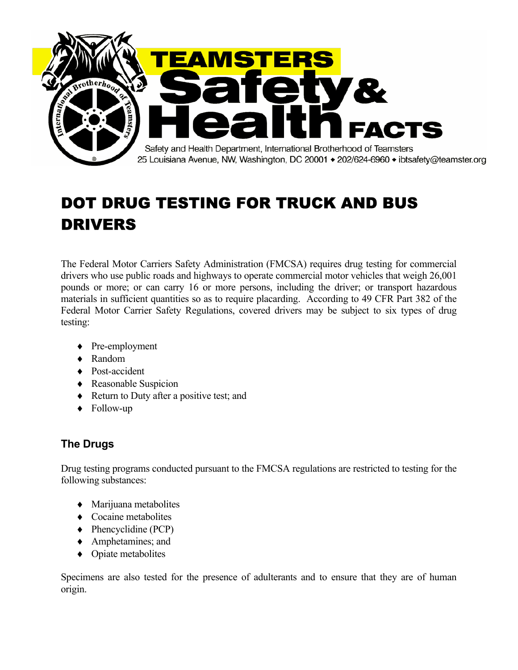

# DOT DRUG TESTING FOR TRUCK AND BUS DRIVERS

The Federal Motor Carriers Safety Administration (FMCSA) requires drug testing for commercial drivers who use public roads and highways to operate commercial motor vehicles that weigh 26,001 pounds or more; or can carry 16 or more persons, including the driver; or transport hazardous materials in sufficient quantities so as to require placarding. According to 49 CFR Part 382 of the Federal Motor Carrier Safety Regulations, covered drivers may be subject to six types of drug testing:

- ♦ Pre-employment
- ♦ Random
- ♦ Post-accident
- ♦ Reasonable Suspicion
- ♦ Return to Duty after a positive test; and
- ♦ Follow-up

## **The Drugs**

Drug testing programs conducted pursuant to the FMCSA regulations are restricted to testing for the following substances:

- ♦ Marijuana metabolites
- ♦ Cocaine metabolites
- $\blacklozenge$  Phencyclidine (PCP)
- ♦ Amphetamines; and
- ♦ Opiate metabolites

Specimens are also tested for the presence of adulterants and to ensure that they are of human origin.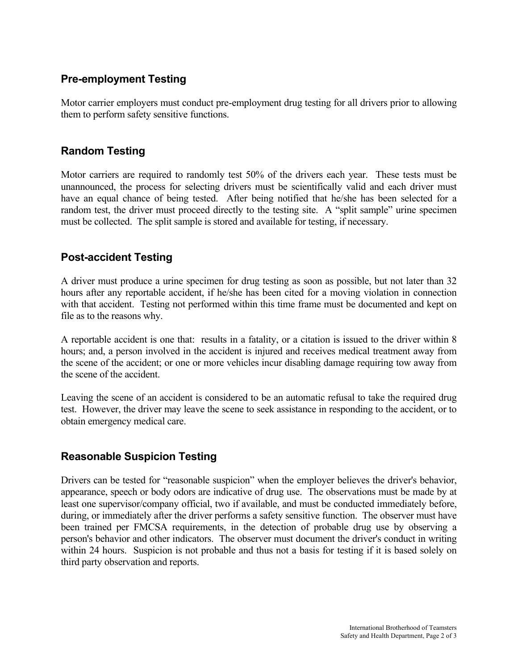## **Pre-employment Testing**

Motor carrier employers must conduct pre-employment drug testing for all drivers prior to allowing them to perform safety sensitive functions.

#### **Random Testing**

Motor carriers are required to randomly test 50% of the drivers each year. These tests must be unannounced, the process for selecting drivers must be scientifically valid and each driver must have an equal chance of being tested. After being notified that he/she has been selected for a random test, the driver must proceed directly to the testing site. A "split sample" urine specimen must be collected. The split sample is stored and available for testing, if necessary.

#### **Post-accident Testing**

A driver must produce a urine specimen for drug testing as soon as possible, but not later than 32 hours after any reportable accident, if he/she has been cited for a moving violation in connection with that accident. Testing not performed within this time frame must be documented and kept on file as to the reasons why.

A reportable accident is one that: results in a fatality, or a citation is issued to the driver within 8 hours; and, a person involved in the accident is injured and receives medical treatment away from the scene of the accident; or one or more vehicles incur disabling damage requiring tow away from the scene of the accident.

Leaving the scene of an accident is considered to be an automatic refusal to take the required drug test. However, the driver may leave the scene to seek assistance in responding to the accident, or to obtain emergency medical care.

## **Reasonable Suspicion Testing**

Drivers can be tested for "reasonable suspicion" when the employer believes the driver's behavior, appearance, speech or body odors are indicative of drug use. The observations must be made by at least one supervisor/company official, two if available, and must be conducted immediately before, during, or immediately after the driver performs a safety sensitive function. The observer must have been trained per FMCSA requirements, in the detection of probable drug use by observing a person's behavior and other indicators. The observer must document the driver's conduct in writing within 24 hours. Suspicion is not probable and thus not a basis for testing if it is based solely on third party observation and reports.